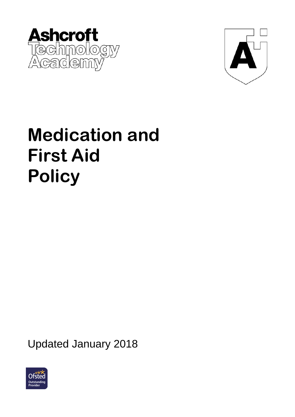



# **Medication and First Aid Policy**

Updated January 2018

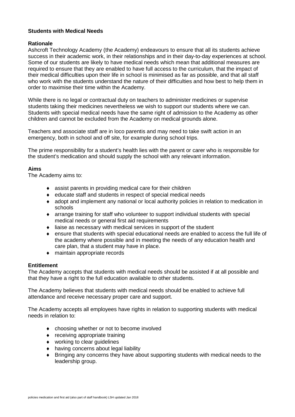#### **Students with Medical Needs**

#### **Rationale**

Ashcroft Technology Academy (the Academy) endeavours to ensure that all its students achieve success in their academic work, in their relationships and in their day-to-day experiences at school. Some of our students are likely to have medical needs which mean that additional measures are required to ensure that they are enabled to have full access to the curriculum, that the impact of their medical difficulties upon their life in school is minimised as far as possible, and that all staff who work with the students understand the nature of their difficulties and how best to help them in order to maximise their time within the Academy.

While there is no legal or contractual duty on teachers to administer medicines or supervise students taking their medicines nevertheless we wish to support our students where we can. Students with special medical needs have the same right of admission to the Academy as other children and cannot be excluded from the Academy on medical grounds alone.

Teachers and associate staff are in loco parentis and may need to take swift action in an emergency, both in school and off site, for example during school trips.

The prime responsibility for a student's health lies with the parent or carer who is responsible for the student's medication and should supply the school with any relevant information.

#### **Aims**

The Academy aims to:

- ♦ assist parents in providing medical care for their children
- ♦ educate staff and students in respect of special medical needs
- ♦ adopt and implement any national or local authority policies in relation to medication in schools
- ♦ arrange training for staff who volunteer to support individual students with special medical needs or general first aid requirements
- ♦ liaise as necessary with medical services in support of the student
- ensure that students with special educational needs are enabled to access the full life of the academy where possible and in meeting the needs of any education health and care plan, that a student may have in place.
- ♦ maintain appropriate records

#### **Entitlement**

The Academy accepts that students with medical needs should be assisted if at all possible and that they have a right to the full education available to other students.

The Academy believes that students with medical needs should be enabled to achieve full attendance and receive necessary proper care and support.

The Academy accepts all employees have rights in relation to supporting students with medical needs in relation to:

- ♦ choosing whether or not to become involved
- ♦ receiving appropriate training
- ♦ working to clear guidelines
- ♦ having concerns about legal liability
- ♦ Bringing any concerns they have about supporting students with medical needs to the leadership group.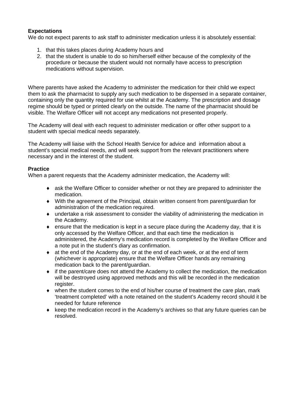#### **Expectations**

We do not expect parents to ask staff to administer medication unless it is absolutely essential:

- 1. that this takes places during Academy hours and
- 2. that the student is unable to do so him/herself either because of the complexity of the procedure or because the student would not normally have access to prescription medications without supervision.

Where parents have asked the Academy to administer the medication for their child we expect them to ask the pharmacist to supply any such medication to be dispensed in a separate container, containing only the quantity required for use whilst at the Academy. The prescription and dosage regime should be typed or printed clearly on the outside. The name of the pharmacist should be visible. The Welfare Officer will not accept any medications not presented properly.

The Academy will deal with each request to administer medication or offer other support to a student with special medical needs separately.

The Academy will liaise with the School Health Service for advice and information about a student's special medical needs, and will seek support from the relevant practitioners where necessary and in the interest of the student.

#### **Practice**

When a parent requests that the Academy administer medication, the Academy will:

- ♦ ask the Welfare Officer to consider whether or not they are prepared to administer the medication.
- ♦ With the agreement of the Principal, obtain written consent from parent/guardian for administration of the medication required.
- ♦ undertake a risk assessment to consider the viability of administering the medication in the Academy.
- ♦ ensure that the medication is kept in a secure place during the Academy day, that it is only accessed by the Welfare Officer, and that each time the medication is administered, the Academy's medication record is completed by the Welfare Officer and a note put in the student's diary as confirmation.
- ♦ at the end of the Academy day, or at the end of each week, or at the end of term (whichever is appropriate) ensure that the Welfare Officer hands any remaining medication back to the parent/guardian.
- ♦ if the parent/care does not attend the Academy to collect the medication, the medication will be destroyed using approved methods and this will be recorded in the medication register.
- $\bullet$  when the student comes to the end of his/her course of treatment the care plan, mark 'treatment completed' with a note retained on the student's Academy record should it be needed for future reference
- ♦ keep the medication record in the Academy's archives so that any future queries can be resolved.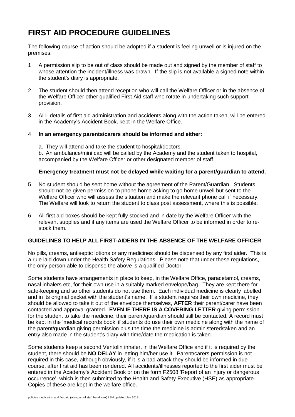### **FIRST AID PROCEDURE GUIDELINES**

The following course of action should be adopted if a student is feeling unwell or is injured on the premises.

- 1 A permission slip to be out of class should be made out and signed by the member of staff to whose attention the incident/illness was drawn. If the slip is not available a signed note within the student's diary is appropriate.
- 2 The student should then attend reception who will call the Welfare Officer or in the absence of the Welfare Officer other qualified First Aid staff who rotate in undertaking such support provision.
- 3 ALL details of first aid administration and accidents along with the action taken, will be entered in the Academy's Accident Book, kept in the Welfare Office.

#### 4 **In an emergency parents/carers should be informed and either:**

a. They will attend and take the student to hospital/doctors.

b. An ambulance/mini cab will be called by the Academy and the student taken to hospital, accompanied by the Welfare Officer or other designated member of staff.

#### **Emergency treatment must not be delayed while waiting for a parent/guardian to attend.**

- 5 No student should be sent home without the agreement of the Parent/Guardian. Students should not be given permission to phone home asking to go home unwell but sent to the Welfare Officer who will assess the situation and make the relevant phone call if necessary. The Welfare will look to return the student to class post assessment, where this is possible.
- 6 All first aid boxes should be kept fully stocked and in date by the Welfare Officer with the relevant supplies and if any items are used the Welfare Officer to be informed in order to restock them.

#### **GUIDELINES TO HELP ALL FIRST-AIDERS IN THE ABSENCE OF THE WELFARE OFFICER**

No pills, creams, antiseptic lotions or any medicines should be dispensed by any first aider. This is a rule laid down under the Health Safety Regulations. Please note that under these regulations, the only person able to dispense the above is a qualified Doctor.

Some students have arrangements in place to keep, in the Welfare Office, paracetamol, creams, nasal inhalers etc, for their own use in a suitably marked envelope/bag. They are kept there for safe-keeping and so other students do not use them. Each individual medicine is clearly labelled and in its original packet with the student's name. If a student requires their own medicine, they should be allowed to take it out of the envelope themselves, **AFTER** their parent/carer have been contacted and approval granted. **EVEN IF THERE IS A COVERING LETTER** giving permission for the student to take the medicine, their parent/guardian should still be contacted. A record must be kept in the 'medical records book' if students do use their own medicine along with the name of the parent/guardian giving permission plus the time the medicine is administered/taken and an entry also made in the student's diary with time/date the medication is taken.

Some students keep a second Ventolin inhaler, in the Welfare Office and if it is required by the student, there should be **NO DELAY** in letting him/her use it. Parent/carers permission is not required in this case, although obviously, if it is a bad attack they should be informed in due course, after first aid has been rendered. All accidents/illnesses reported to the first aider must be entered in the Academy's Accident Book or on the form F2508 'Report of an injury or dangerous occurrence', which is then submitted to the Health and Safety Executive (HSE) as appropriate. Copies of these are kept in the welfare office.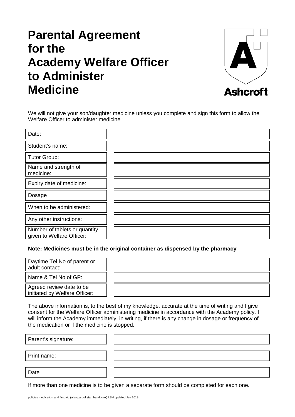## **Parental Agreement for the Academy Welfare Officer to Administer Medicine**



We will not give your son/daughter medicine unless you complete and sign this form to allow the Welfare Officer to administer medicine

| Date:                                                      |  |
|------------------------------------------------------------|--|
| Student's name:                                            |  |
| <b>Tutor Group:</b>                                        |  |
| Name and strength of<br>medicine:                          |  |
| Expiry date of medicine:                                   |  |
| Dosage                                                     |  |
| When to be administered:                                   |  |
| Any other instructions:                                    |  |
| Number of tablets or quantity<br>given to Welfare Officer: |  |

**Note: Medicines must be in the original container as dispensed by the pharmacy**

| Daytime Tel No of parent or<br>adult contact:             |  |
|-----------------------------------------------------------|--|
| Name & Tel No of GP:                                      |  |
| Agreed review date to be<br>initiated by Welfare Officer: |  |

The above information is, to the best of my knowledge, accurate at the time of writing and I give consent for the Welfare Officer administering medicine in accordance with the Academy policy. I will inform the Academy immediately, in writing, if there is any change in dosage or frequency of the medication or if the medicine is stopped.

| Parent's signature: |  |
|---------------------|--|
| Print name:         |  |
|                     |  |
| Date                |  |

If more than one medicine is to be given a separate form should be completed for each one.